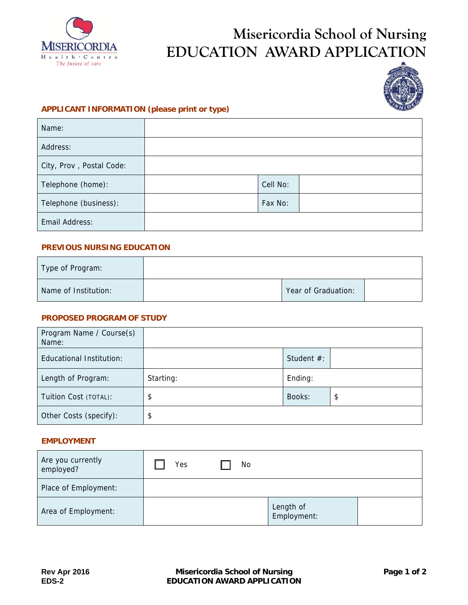

# **Misericordia School of Nursing EDUCATION AWARD APPLICATION**



### **APPLICANT INFORMATION (please print or type)**

| Name:                    |          |
|--------------------------|----------|
| Address:                 |          |
| City, Prov, Postal Code: |          |
| Telephone (home):        | Cell No: |
| Telephone (business):    | Fax No:  |
| Email Address:           |          |

#### **PREVIOUS NURSING EDUCATION**

| Type of Program:     |                     |  |
|----------------------|---------------------|--|
| Name of Institution: | Year of Graduation: |  |

#### **PROPOSED PROGRAM OF STUDY**

| Program Name / Course(s)<br>Name: |           |               |    |
|-----------------------------------|-----------|---------------|----|
| Educational Institution:          |           | Student $#$ : |    |
| Length of Program:                | Starting: | Ending:       |    |
| Tuition Cost (TOTAL):             | \$        | Books:        | \$ |
| Other Costs (specify):            | \$        |               |    |

#### **EMPLOYMENT**

| Are you currently<br>employed? | Yes | No |                          |  |
|--------------------------------|-----|----|--------------------------|--|
| Place of Employment:           |     |    |                          |  |
| Area of Employment:            |     |    | Length of<br>Employment: |  |